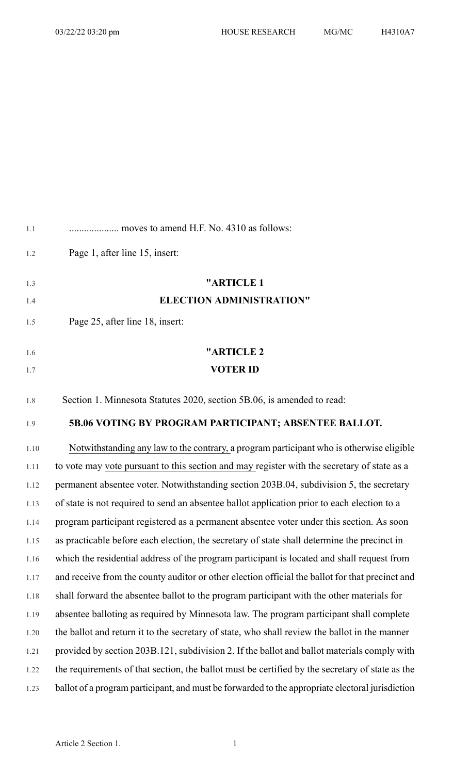| 1.1  | moves to amend H.F. No. 4310 as follows:                                                         |
|------|--------------------------------------------------------------------------------------------------|
| 1.2  | Page 1, after line 15, insert:                                                                   |
| 1.3  | "ARTICLE 1                                                                                       |
| 1.4  | <b>ELECTION ADMINISTRATION"</b>                                                                  |
| 1.5  | Page 25, after line 18, insert:                                                                  |
| 1.6  | "ARTICLE 2                                                                                       |
| 1.7  | <b>VOTER ID</b>                                                                                  |
| 1.8  | Section 1. Minnesota Statutes 2020, section 5B.06, is amended to read:                           |
| 1.9  | 5B.06 VOTING BY PROGRAM PARTICIPANT; ABSENTEE BALLOT.                                            |
| 1.10 | Notwithstanding any law to the contrary, a program participant who is otherwise eligible         |
| 1.11 | to vote may vote pursuant to this section and may register with the secretary of state as a      |
| 1.12 | permanent absentee voter. Notwithstanding section 203B.04, subdivision 5, the secretary          |
| 1.13 | of state is not required to send an absentee ballot application prior to each election to a      |
| 1.14 | program participant registered as a permanent absentee voter under this section. As soon         |
| 1.15 | as practicable before each election, the secretary of state shall determine the precinct in      |
| 1.16 | which the residential address of the program participant is located and shall request from       |
| 1.17 | and receive from the county auditor or other election official the ballot for that precinct and  |
| 1.18 | shall forward the absentee ballot to the program participant with the other materials for        |
| 1.19 | absentee balloting as required by Minnesota law. The program participant shall complete          |
| 1.20 | the ballot and return it to the secretary of state, who shall review the ballot in the manner    |
| 1.21 | provided by section 203B.121, subdivision 2. If the ballot and ballot materials comply with      |
| 1.22 | the requirements of that section, the ballot must be certified by the secretary of state as the  |
| 1.23 | ballot of a program participant, and must be forwarded to the appropriate electoral jurisdiction |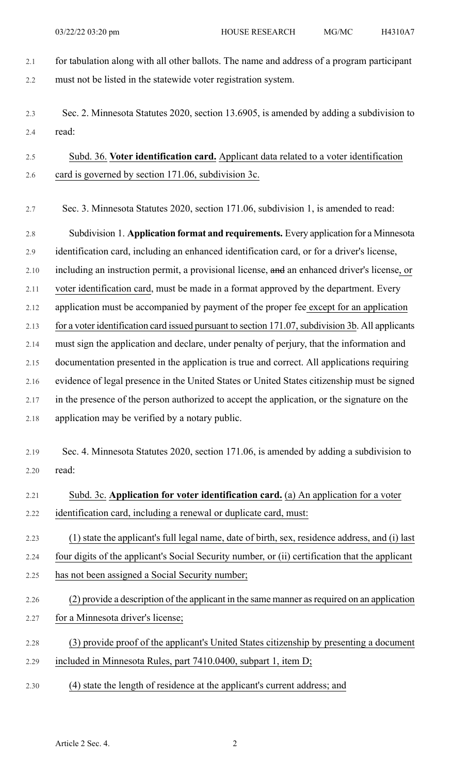- 2.1 for tabulation along with all other ballots. The name and address of a program participant 2.2 must not be listed in the statewide voter registration system.
- 2.3 Sec. 2. Minnesota Statutes 2020, section 13.6905, is amended by adding a subdivision to 2.4 read:

# 2.5 Subd. 36. **Voter identification card.** Applicant data related to a voter identification 2.6 card is governed by section 171.06, subdivision 3c.

2.7 Sec. 3. Minnesota Statutes 2020, section 171.06, subdivision 1, is amended to read:

2.8 Subdivision 1. **Application format and requirements.** Every application for a Minnesota 2.9 identification card, including an enhanced identification card, or for a driver's license, 2.10 including an instruction permit, a provisional license, and an enhanced driver's license, or 2.11 voter identification card, must be made in a format approved by the department. Every 2.12 application must be accompanied by payment of the proper fee except for an application 2.13 for a voter identification card issued pursuant to section 171.07, subdivision 3b. All applicants 2.14 must sign the application and declare, under penalty of perjury, that the information and 2.15 documentation presented in the application is true and correct. All applications requiring 2.16 evidence of legal presence in the United States or United States citizenship must be signed 2.17 in the presence of the person authorized to accept the application, or the signature on the 2.18 application may be verified by a notary public.

- 2.19 Sec. 4. Minnesota Statutes 2020, section 171.06, is amended by adding a subdivision to
- 2.20 read:

# 2.21 Subd. 3c. **Application for voter identification card.** (a) An application for a voter 2.22 identification card, including a renewal or duplicate card, must:

- 2.23 (1) state the applicant's full legal name, date of birth, sex, residence address, and (i) last 2.24 four digits of the applicant's Social Security number, or (ii) certification that the applicant 2.25 has not been assigned a Social Security number;
- 2.26 (2) provide a description of the applicant in the same manner as required on an application 2.27 for a Minnesota driver's license;
- 2.28 (3) provide proof of the applicant's United States citizenship by presenting a document 2.29 included in Minnesota Rules, part 7410.0400, subpart 1, item D;
- 2.30 (4) state the length of residence at the applicant's current address; and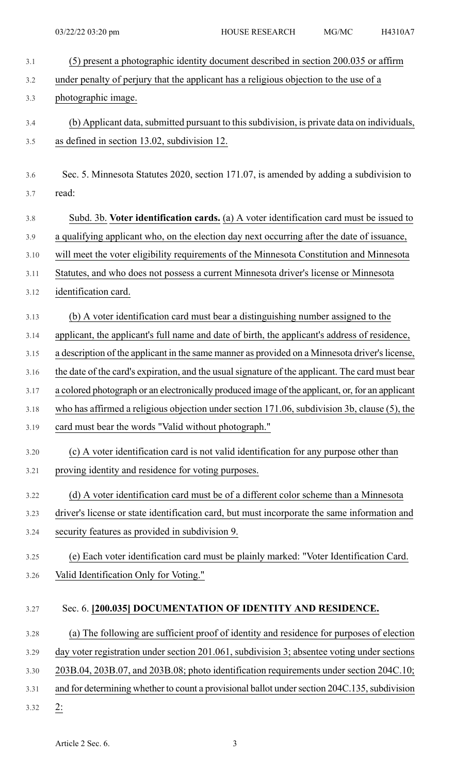| 3.1  | (5) present a photographic identity document described in section 200.035 or affirm             |
|------|-------------------------------------------------------------------------------------------------|
| 3.2  | under penalty of perjury that the applicant has a religious objection to the use of a           |
| 3.3  | photographic image.                                                                             |
| 3.4  | (b) Applicant data, submitted pursuant to this subdivision, is private data on individuals,     |
| 3.5  | as defined in section 13.02, subdivision 12.                                                    |
| 3.6  | Sec. 5. Minnesota Statutes 2020, section 171.07, is amended by adding a subdivision to          |
| 3.7  | read:                                                                                           |
| 3.8  | Subd. 3b. Voter identification cards. (a) A voter identification card must be issued to         |
| 3.9  | a qualifying applicant who, on the election day next occurring after the date of issuance,      |
| 3.10 | will meet the voter eligibility requirements of the Minnesota Constitution and Minnesota        |
| 3.11 | Statutes, and who does not possess a current Minnesota driver's license or Minnesota            |
| 3.12 | identification card.                                                                            |
| 3.13 | (b) A voter identification card must bear a distinguishing number assigned to the               |
| 3.14 | applicant, the applicant's full name and date of birth, the applicant's address of residence,   |
| 3.15 | a description of the applicant in the same manner as provided on a Minnesota driver's license,  |
| 3.16 | the date of the card's expiration, and the usual signature of the applicant. The card must bear |
| 3.17 | a colored photograph or an electronically produced image of the applicant, or, for an applicant |
| 3.18 | who has affirmed a religious objection under section $171.06$ , subdivision 3b, clause (5), the |
| 3.19 | card must bear the words "Valid without photograph."                                            |
| 3.20 | (c) A voter identification card is not valid identification for any purpose other than          |
| 3.21 | proving identity and residence for voting purposes.                                             |
| 3.22 | (d) A voter identification card must be of a different color scheme than a Minnesota            |
| 3.23 | driver's license or state identification card, but must incorporate the same information and    |
| 3.24 | security features as provided in subdivision 9.                                                 |
| 3.25 | (e) Each voter identification card must be plainly marked: "Voter Identification Card.          |
| 3.26 | Valid Identification Only for Voting."                                                          |
| 3.27 | Sec. 6. [200.035] DOCUMENTATION OF IDENTITY AND RESIDENCE.                                      |
| 3.28 | (a) The following are sufficient proof of identity and residence for purposes of election       |
| 3.29 | day voter registration under section 201.061, subdivision 3; absentee voting under sections     |
| 3.30 | 203B.04, 203B.07, and 203B.08; photo identification requirements under section 204C.10;         |
| 3.31 | and for determining whether to count a provisional ballot under section 204C.135, subdivision   |
| 3.32 | 2:                                                                                              |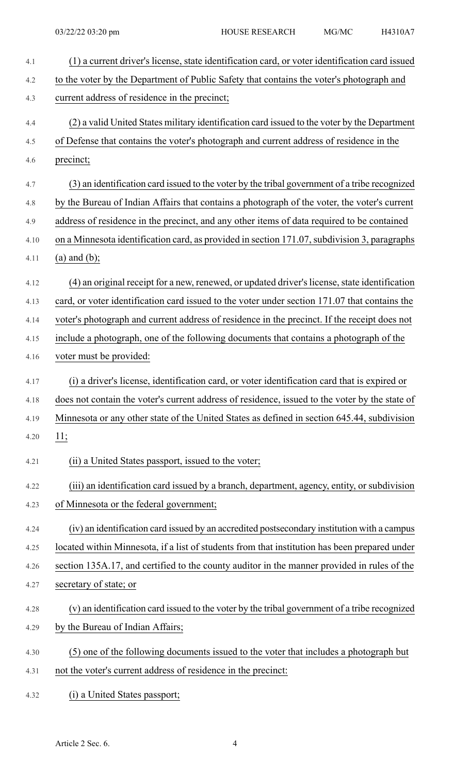| 4.1  | (1) a current driver's license, state identification card, or voter identification card issued |
|------|------------------------------------------------------------------------------------------------|
| 4.2  | to the voter by the Department of Public Safety that contains the voter's photograph and       |
| 4.3  | current address of residence in the precinct;                                                  |
| 4.4  | (2) a valid United States military identification card issued to the voter by the Department   |
| 4.5  | of Defense that contains the voter's photograph and current address of residence in the        |
| 4.6  | precinct;                                                                                      |
| 4.7  | (3) an identification card issued to the voter by the tribal government of a tribe recognized  |
| 4.8  | by the Bureau of Indian Affairs that contains a photograph of the voter, the voter's current   |
| 4.9  | address of residence in the precinct, and any other items of data required to be contained     |
| 4.10 | on a Minnesota identification card, as provided in section 171.07, subdivision 3, paragraphs   |
| 4.11 | $(a)$ and $(b)$ ;                                                                              |
| 4.12 | (4) an original receipt for a new, renewed, or updated driver's license, state identification  |
| 4.13 | card, or voter identification card issued to the voter under section 171.07 that contains the  |
| 4.14 | voter's photograph and current address of residence in the precinct. If the receipt does not   |
| 4.15 | include a photograph, one of the following documents that contains a photograph of the         |
| 4.16 | voter must be provided:                                                                        |
| 4.17 | (i) a driver's license, identification card, or voter identification card that is expired or   |
| 4.18 | does not contain the voter's current address of residence, issued to the voter by the state of |
| 4.19 | Minnesota or any other state of the United States as defined in section 645.44, subdivision    |
| 4.20 | 11;                                                                                            |
| 4.21 | (ii) a United States passport, issued to the voter;                                            |
| 4.22 | (iii) an identification card issued by a branch, department, agency, entity, or subdivision    |
| 4.23 | of Minnesota or the federal government;                                                        |
| 4.24 | (iv) an identification card issued by an accredited postsecondary institution with a campus    |
| 4.25 | located within Minnesota, if a list of students from that institution has been prepared under  |
| 4.26 | section 135A.17, and certified to the county auditor in the manner provided in rules of the    |
| 4.27 | secretary of state; or                                                                         |
| 4.28 | (v) an identification card issued to the voter by the tribal government of a tribe recognized  |
| 4.29 | by the Bureau of Indian Affairs;                                                               |
| 4.30 | (5) one of the following documents issued to the voter that includes a photograph but          |
| 4.31 | not the voter's current address of residence in the precinct:                                  |
| 4.32 | (i) a United States passport;                                                                  |

Article 2 Sec. 6. 4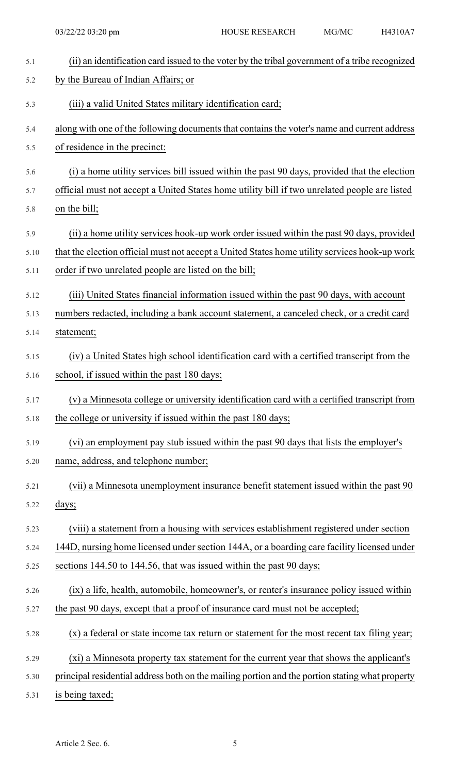| 5.1           | (ii) an identification card issued to the voter by the tribal government of a tribe recognized  |
|---------------|-------------------------------------------------------------------------------------------------|
| 5.2           | by the Bureau of Indian Affairs; or                                                             |
| 5.3           | (iii) a valid United States military identification card;                                       |
| 5.4           | along with one of the following documents that contains the voter's name and current address    |
| 5.5           | of residence in the precinct:                                                                   |
| 5.6           | (i) a home utility services bill issued within the past 90 days, provided that the election     |
| 5.7           | official must not accept a United States home utility bill if two unrelated people are listed   |
| 5.8           | on the bill;                                                                                    |
| 5.9           | (ii) a home utility services hook-up work order issued within the past 90 days, provided        |
| 5.10          | that the election official must not accept a United States home utility services hook-up work   |
| 5.11          | order if two unrelated people are listed on the bill;                                           |
| 5.12          | (iii) United States financial information issued within the past 90 days, with account          |
| 5.13          | numbers redacted, including a bank account statement, a canceled check, or a credit card        |
| 5.14          | statement;                                                                                      |
| 5.15          | (iv) a United States high school identification card with a certified transcript from the       |
| 5.16          | school, if issued within the past 180 days;                                                     |
| 5.17          | (v) a Minnesota college or university identification card with a certified transcript from      |
| 5.18          | the college or university if issued within the past 180 days;                                   |
| 5.19          | (vi) an employment pay stub issued within the past 90 days that lists the employer's            |
| 5.20          | name, address, and telephone number;                                                            |
| 5.21          | (vii) a Minnesota unemployment insurance benefit statement issued within the past 90            |
| 5.22          | days;                                                                                           |
| 5.23          | (viii) a statement from a housing with services establishment registered under section          |
| 5.24          | 144D, nursing home licensed under section 144A, or a boarding care facility licensed under      |
| 5.25          | sections 144.50 to 144.56, that was issued within the past 90 days;                             |
| 5.26          | (ix) a life, health, automobile, homeowner's, or renter's insurance policy issued within        |
| 5.27          | the past 90 days, except that a proof of insurance card must not be accepted;                   |
| 5.28          | (x) a federal or state income tax return or statement for the most recent tax filing year;      |
| 5.29          | (xi) a Minnesota property tax statement for the current year that shows the applicant's         |
| 5.30          | principal residential address both on the mailing portion and the portion stating what property |
| $\epsilon$ 21 | is hoing toyod.                                                                                 |

5.31 is being taxed;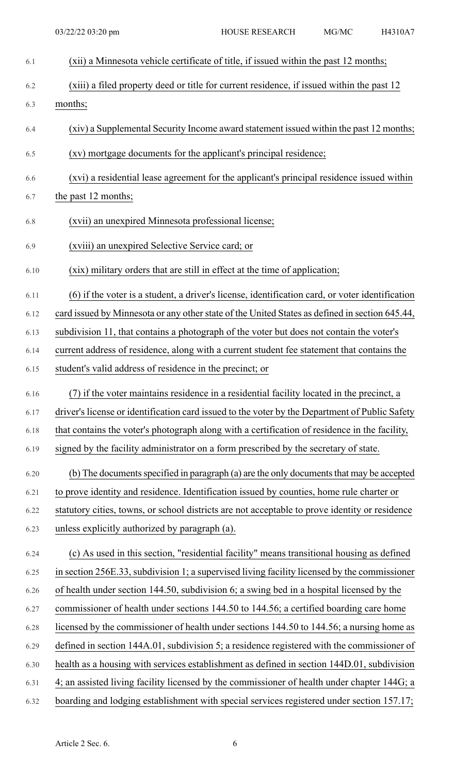| 6.1  | (xii) a Minnesota vehicle certificate of title, if issued within the past 12 months;            |
|------|-------------------------------------------------------------------------------------------------|
| 6.2  | (xiii) a filed property deed or title for current residence, if issued within the past 12       |
| 6.3  | months;                                                                                         |
| 6.4  | (xiv) a Supplemental Security Income award statement issued within the past 12 months;          |
| 6.5  | (xv) mortgage documents for the applicant's principal residence;                                |
| 6.6  | (xvi) a residential lease agreement for the applicant's principal residence issued within       |
| 6.7  | the past 12 months;                                                                             |
| 6.8  | (xvii) an unexpired Minnesota professional license;                                             |
| 6.9  | (xviii) an unexpired Selective Service card; or                                                 |
| 6.10 | (xix) military orders that are still in effect at the time of application;                      |
| 6.11 | (6) if the voter is a student, a driver's license, identification card, or voter identification |
| 6.12 | card issued by Minnesota or any other state of the United States as defined in section 645.44,  |
| 6.13 | subdivision 11, that contains a photograph of the voter but does not contain the voter's        |
| 6.14 | current address of residence, along with a current student fee statement that contains the      |
| 6.15 | student's valid address of residence in the precinct; or                                        |
| 6.16 | (7) if the voter maintains residence in a residential facility located in the precinct, a       |
| 6.17 | driver's license or identification card issued to the voter by the Department of Public Safety  |
| 6.18 | that contains the voter's photograph along with a certification of residence in the facility,   |
| 6.19 | signed by the facility administrator on a form prescribed by the secretary of state.            |
| 6.20 | (b) The documents specified in paragraph (a) are the only documents that may be accepted        |
| 6.21 | to prove identity and residence. Identification issued by counties, home rule charter or        |
| 6.22 | statutory cities, towns, or school districts are not acceptable to prove identity or residence  |
| 6.23 | unless explicitly authorized by paragraph (a).                                                  |
| 6.24 | (c) As used in this section, "residential facility" means transitional housing as defined       |
| 6.25 | in section 256E.33, subdivision 1; a supervised living facility licensed by the commissioner    |
| 6.26 | of health under section 144.50, subdivision 6; a swing bed in a hospital licensed by the        |
| 6.27 | commissioner of health under sections 144.50 to 144.56; a certified boarding care home          |
| 6.28 | licensed by the commissioner of health under sections 144.50 to 144.56; a nursing home as       |
| 6.29 | defined in section 144A.01, subdivision 5; a residence registered with the commissioner of      |
| 6.30 | health as a housing with services establishment as defined in section 144D.01, subdivision      |
|      |                                                                                                 |
| 6.31 | 4; an assisted living facility licensed by the commissioner of health under chapter 144G; a     |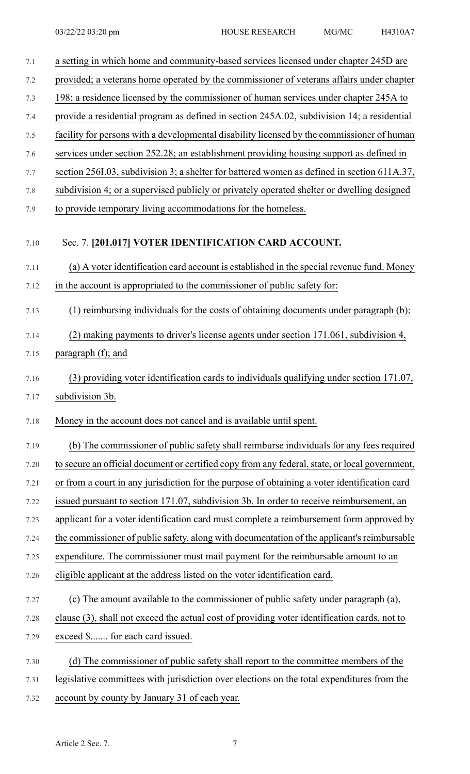| 7.1  | a setting in which home and community-based services licensed under chapter 245D are           |
|------|------------------------------------------------------------------------------------------------|
| 7.2  | provided; a veterans home operated by the commissioner of veterans affairs under chapter       |
| 7.3  | 198; a residence licensed by the commissioner of human services under chapter 245A to          |
| 7.4  | provide a residential program as defined in section 245A.02, subdivision 14; a residential     |
| 7.5  | facility for persons with a developmental disability licensed by the commissioner of human     |
| 7.6  | services under section 252.28; an establishment providing housing support as defined in        |
| 7.7  | section 256I.03, subdivision 3; a shelter for battered women as defined in section 611A.37,    |
| 7.8  | subdivision 4; or a supervised publicly or privately operated shelter or dwelling designed     |
| 7.9  | to provide temporary living accommodations for the homeless.                                   |
| 7.10 | Sec. 7. [201.017] VOTER IDENTIFICATION CARD ACCOUNT.                                           |
| 7.11 | (a) A voter identification card account is established in the special revenue fund. Money      |
| 7.12 | in the account is appropriated to the commissioner of public safety for:                       |
| 7.13 | (1) reimbursing individuals for the costs of obtaining documents under paragraph (b);          |
| 7.14 | (2) making payments to driver's license agents under section 171.061, subdivision 4,           |
| 7.15 | paragraph (f); and                                                                             |
| 7.16 | (3) providing voter identification cards to individuals qualifying under section 171.07,       |
| 7.17 | subdivision 3b.                                                                                |
| 7.18 | Money in the account does not cancel and is available until spent.                             |
| 7.19 | (b) The commissioner of public safety shall reimburse individuals for any fees required        |
| 7.20 | to secure an official document or certified copy from any federal, state, or local government, |
| 7.21 | or from a court in any jurisdiction for the purpose of obtaining a voter identification card   |
| 7.22 | issued pursuant to section 171.07, subdivision 3b. In order to receive reimbursement, an       |
| 7.23 | applicant for a voter identification card must complete a reimbursement form approved by       |
| 7.24 | the commissioner of public safety, along with documentation of the applicant's reimbursable    |
| 7.25 | expenditure. The commissioner must mail payment for the reimbursable amount to an              |
| 7.26 | eligible applicant at the address listed on the voter identification card.                     |
| 7.27 | (c) The amount available to the commissioner of public safety under paragraph (a),             |
| 7.28 | clause (3), shall not exceed the actual cost of providing voter identification cards, not to   |
| 7.29 | exceed \$ for each card issued.                                                                |
| 7.30 | (d) The commissioner of public safety shall report to the committee members of the             |
| 7.31 | legislative committees with jurisdiction over elections on the total expenditures from the     |
| 7.32 | account by county by January 31 of each year.                                                  |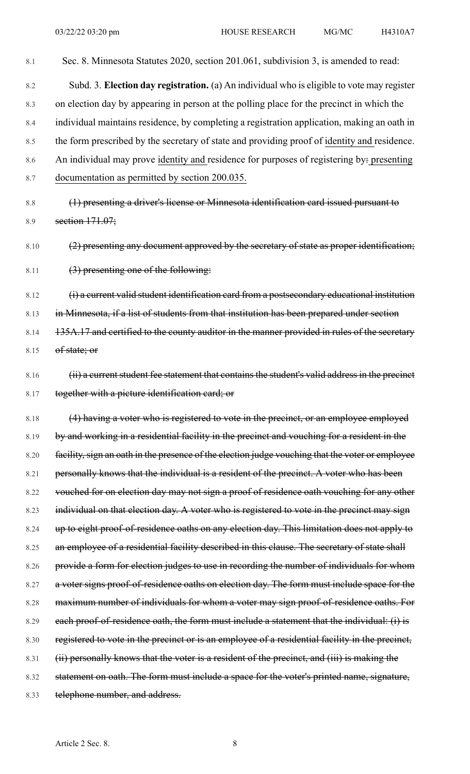8.1 Sec. 8. Minnesota Statutes 2020, section 201.061, subdivision 3, is amended to read: 8.2 Subd. 3. **Election day registration.** (a) An individual who is eligible to vote may register 8.3 on election day by appearing in person at the polling place for the precinct in which the 8.4 individual maintains residence, by completing a registration application, making an oath in 8.5 the form prescribed by the secretary of state and providing proof of identity and residence. 8.6 An individual may prove identity and residence for purposes of registering by: presenting 8.7 documentation as permitted by section 200.035. 8.8 (1) presenting a driver's license or Minnesota identification card issued pursuant to 8.9 section 171.07; 8.10 (2) presenting any document approved by the secretary of state as proper identification; 8.11  $(3)$  presenting one of the following: 8.12 (i) a current valid student identification card from a postsecondary educational institution 8.13 in Minnesota, if a list of students from that institution has been prepared under section 8.14 135A.17 and certified to the county auditor in the manner provided in rules of the secretary 8.15 of state; or 8.16 (ii) a current student fee statement that contains the student's valid address in the precinct 8.17 together with a picture identification card; or 8.18 (4) having a voter who is registered to vote in the precinct, or an employee employed 8.19 by and working in a residential facility in the precinct and vouching for a resident in the 8.20 facility, sign an oath in the presence of the election judge vouching that the voter or employee 8.21 personally knows that the individual is a resident of the precinct. A voter who has been 8.22 vouched for on election day may not sign a proof of residence oath vouching for any other 8.23 individual on that election day. A voter who is registered to vote in the precinct may sign 8.24 up to eight proof-of-residence oaths on any election day. This limitation does not apply to 8.25 an employee of a residential facility described in this clause. The secretary of state shall 8.26 provide a form for election judges to use in recording the number of individuals for whom 8.27 a voter signs proof-of-residence oaths on election day. The form must include space for the 8.28 maximum number of individuals for whom a voter may sign proof-of-residence oaths. For 8.29 each proof-of-residence oath, the form must include a statement that the individual: (i) is 8.30 registered to vote in the precinct or is an employee of a residential facility in the precinct, 8.31 (ii) personally knows that the voter is a resident of the precinct, and (iii) is making the 8.32 statement on oath. The form must include a space for the voter's printed name, signature, 8.33 telephone number, and address.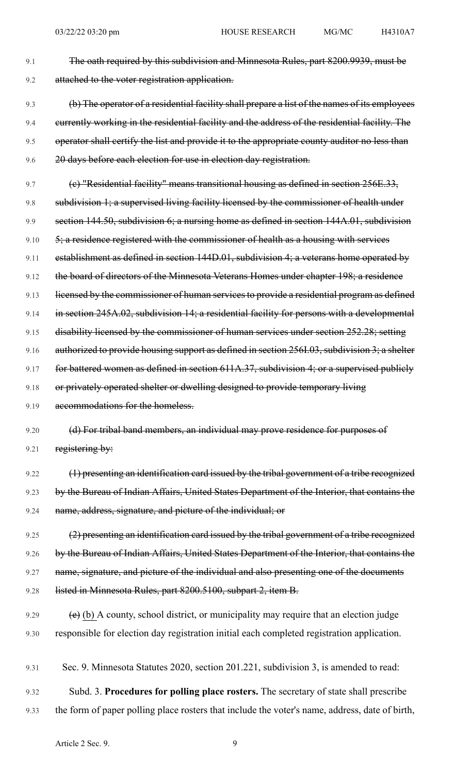- 9.1 The oath required by this subdivision and Minnesota Rules, part 8200.9939, must be 9.2 attached to the voter registration application.
- 9.3 (b) The operator of a residential facility shall prepare a list of the names of its employees 9.4 currently working in the residential facility and the address of the residential facility. The 9.5 operator shall certify the list and provide it to the appropriate county auditor no less than 9.6 20 days before each election for use in election day registration.
- 9.7 (c) "Residential facility" means transitional housing as defined in section 256E.33, 9.8 subdivision 1; a supervised living facility licensed by the commissioner of health under 9.9 section 144.50, subdivision 6; a nursing home as defined in section 144A.01, subdivision 9.10  $\frac{5}{7}$ ; a residence registered with the commissioner of health as a housing with services 9.11 establishment as defined in section 144D.01, subdivision 4; a veterans home operated by 9.12 the board of directors of the Minnesota Veterans Homes under chapter 198; a residence 9.13 licensed by the commissioner of human services to provide a residential program as defined 9.14 in section 245A.02, subdivision 14; a residential facility for persons with a developmental 9.15 disability licensed by the commissioner of human services under section 252.28; setting 9.16 authorized to provide housing support as defined in section 256I.03, subdivision 3; a shelter 9.17 for battered women as defined in section 611A.37, subdivision 4; or a supervised publicly 9.18 or privately operated shelter or dwelling designed to provide temporary living 9.19 accommodations for the homeless. 9.20 (d) For tribal band members, an individual may prove residence for purposes of 9.21 registering by: 9.22 (1) presenting an identification card issued by the tribal government of a tribe recognized
	- 9.23 by the Bureau of Indian Affairs, United States Department of the Interior, that contains the 9.24 name, address, signature, and picture of the individual; or
	- 9.25 (2) presenting an identification card issued by the tribal government of a tribe recognized 9.26 by the Bureau of Indian Affairs, United States Department of the Interior, that contains the 9.27 name, signature, and picture of the individual and also presenting one of the documents 9.28 listed in Minnesota Rules, part 8200.5100, subpart 2, item B.
	- 9.29  $\left(e\right)$  (b) A county, school district, or municipality may require that an election judge 9.30 responsible for election day registration initial each completed registration application.
	- 9.31 Sec. 9. Minnesota Statutes 2020, section 201.221, subdivision 3, is amended to read:
	- 9.32 Subd. 3. **Procedures for polling place rosters.** The secretary of state shall prescribe
	- 9.33 the form of paper polling place rosters that include the voter's name, address, date of birth,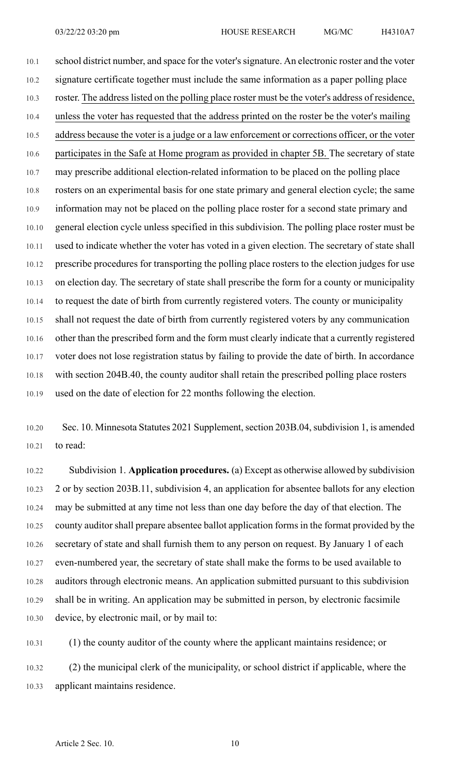10.1 school district number, and space for the voter's signature. An electronic roster and the voter 10.2 signature certificate together must include the same information as a paper polling place 10.3 roster. The address listed on the polling place roster must be the voter's address of residence, 10.4 unless the voter has requested that the address printed on the roster be the voter's mailing 10.5 address because the voter is a judge or a law enforcement or corrections officer, or the voter 10.6 participates in the Safe at Home program as provided in chapter 5B. The secretary of state 10.7 may prescribe additional election-related information to be placed on the polling place 10.8 rosters on an experimental basis for one state primary and general election cycle; the same 10.9 information may not be placed on the polling place roster for a second state primary and 10.10 general election cycle unless specified in this subdivision. The polling place roster must be 10.11 used to indicate whether the voter has voted in a given election. The secretary of state shall 10.12 prescribe procedures for transporting the polling place rosters to the election judges for use 10.13 on election day. The secretary of state shall prescribe the form for a county or municipality 10.14 to request the date of birth from currently registered voters. The county or municipality 10.15 shall not request the date of birth from currently registered voters by any communication 10.16 other than the prescribed form and the form must clearly indicate that a currently registered 10.17 voter does not lose registration status by failing to provide the date of birth. In accordance 10.18 with section 204B.40, the county auditor shall retain the prescribed polling place rosters 10.19 used on the date of election for 22 months following the election.

10.20 Sec. 10. Minnesota Statutes 2021 Supplement, section 203B.04, subdivision 1, is amended 10.21 to read:

10.22 Subdivision 1. **Application procedures.** (a) Except as otherwise allowed by subdivision 10.23 2 or by section 203B.11, subdivision 4, an application for absentee ballots for any election 10.24 may be submitted at any time not less than one day before the day of that election. The 10.25 county auditor shall prepare absentee ballot application forms in the format provided by the 10.26 secretary of state and shall furnish them to any person on request. By January 1 of each 10.27 even-numbered year, the secretary of state shall make the forms to be used available to 10.28 auditors through electronic means. An application submitted pursuant to this subdivision 10.29 shall be in writing. An application may be submitted in person, by electronic facsimile 10.30 device, by electronic mail, or by mail to:

10.31 (1) the county auditor of the county where the applicant maintains residence; or

10.32 (2) the municipal clerk of the municipality, or school district if applicable, where the 10.33 applicant maintains residence.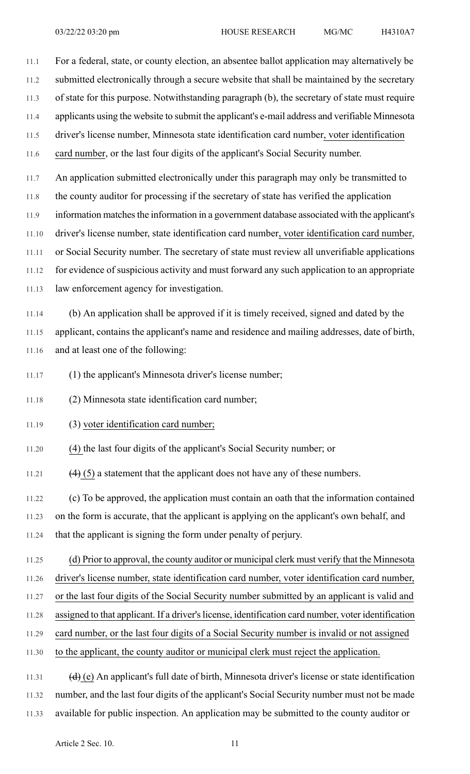11.1 For a federal, state, or county election, an absentee ballot application may alternatively be 11.2 submitted electronically through a secure website that shall be maintained by the secretary 11.3 of state for this purpose. Notwithstanding paragraph (b), the secretary of state must require 11.4 applicants using the website to submit the applicant's e-mail address and verifiable Minnesota 11.5 driver's license number, Minnesota state identification card number, voter identification 11.6 card number, or the last four digits of the applicant's Social Security number. 11.7 An application submitted electronically under this paragraph may only be transmitted to 11.8 the county auditor for processing if the secretary of state has verified the application 11.9 information matches the information in a government database associated with the applicant's

11.10 driver's license number, state identification card number, voter identification card number,

11.11 or Social Security number. The secretary of state must review all unverifiable applications

11.12 for evidence of suspicious activity and must forward any such application to an appropriate 11.13 law enforcement agency for investigation.

11.14 (b) An application shall be approved if it is timely received, signed and dated by the 11.15 applicant, contains the applicant's name and residence and mailing addresses, date of birth, 11.16 and at least one of the following:

11.17 (1) the applicant's Minnesota driver's license number;

11.18 (2) Minnesota state identification card number;

#### 11.19 (3) voter identification card number;

11.20 (4) the last four digits of the applicant's Social Security number; or

11.21  $(4)$  (5) a statement that the applicant does not have any of these numbers.

11.22 (c) To be approved, the application must contain an oath that the information contained

11.23 on the form is accurate, that the applicant is applying on the applicant's own behalf, and

11.24 that the applicant is signing the form under penalty of perjury.

11.25 (d) Prior to approval, the county auditor or municipal clerk must verify that the Minnesota 11.26 driver's license number, state identification card number, voter identification card number, 11.27 or the last four digits of the Social Security number submitted by an applicant is valid and

11.28 assigned to that applicant. If a driver's license, identification card number, voter identification

11.29 card number, or the last four digits of a Social Security number is invalid or not assigned

11.30 to the applicant, the county auditor or municipal clerk must reject the application.

11.31  $(d)$  (e) An applicant's full date of birth, Minnesota driver's license or state identification 11.32 number, and the last four digits of the applicant's Social Security number must not be made 11.33 available for public inspection. An application may be submitted to the county auditor or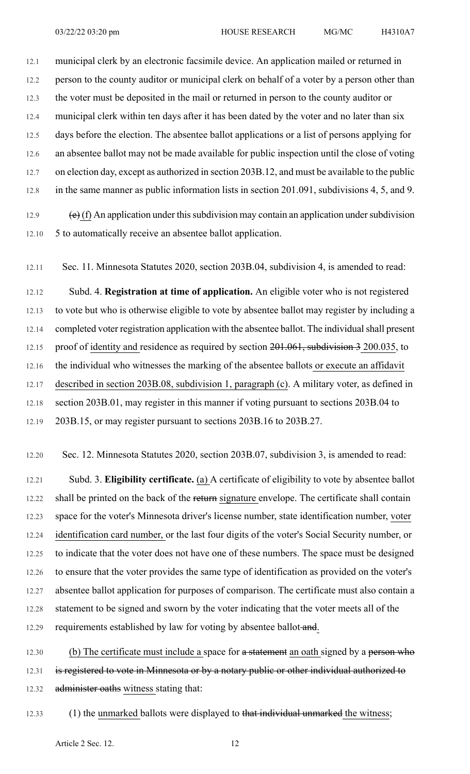12.1 municipal clerk by an electronic facsimile device. An application mailed or returned in 12.2 person to the county auditor or municipal clerk on behalf of a voter by a person other than 12.3 the voter must be deposited in the mail or returned in person to the county auditor or 12.4 municipal clerk within ten days after it has been dated by the voter and no later than six 12.5 days before the election. The absentee ballot applications or a list of persons applying for 12.6 an absentee ballot may not be made available for public inspection until the close of voting 12.7 on election day, except as authorized in section 203B.12, and must be available to the public 12.8 in the same manner as public information lists in section 201.091, subdivisions 4, 5, and 9.

12.9  $\left(\frac{e}{f}\right)$  An application under this subdivision may contain an application under subdivision 12.10 5 to automatically receive an absentee ballot application.

12.11 Sec. 11. Minnesota Statutes 2020, section 203B.04, subdivision 4, is amended to read:

12.12 Subd. 4. **Registration at time of application.** An eligible voter who is not registered 12.13 to vote but who is otherwise eligible to vote by absentee ballot may register by including a 12.14 completed voter registration application with the absentee ballot. The individual shall present 12.15 proof of identity and residence as required by section 201.061, subdivision 3 200.035, to 12.16 the individual who witnesses the marking of the absentee ballots or execute an affidavit 12.17 described in section 203B.08, subdivision 1, paragraph (c). A military voter, as defined in 12.18 section 203B.01, may register in this manner if voting pursuant to sections 203B.04 to 12.19 203B.15, or may register pursuant to sections 203B.16 to 203B.27.

12.20 Sec. 12. Minnesota Statutes 2020, section 203B.07, subdivision 3, is amended to read:

12.21 Subd. 3. **Eligibility certificate.** (a) A certificate of eligibility to vote by absentee ballot 12.22 shall be printed on the back of the return signature envelope. The certificate shall contain 12.23 space for the voter's Minnesota driver's license number, state identification number, voter 12.24 identification card number, or the last four digits of the voter's Social Security number, or 12.25 to indicate that the voter does not have one of these numbers. The space must be designed 12.26 to ensure that the voter provides the same type of identification as provided on the voter's 12.27 absentee ballot application for purposes of comparison. The certificate must also contain a 12.28 statement to be signed and sworn by the voter indicating that the voter meets all of the 12.29 requirements established by law for voting by absentee ballot-and.

12.30 (b) The certificate must include a space for a statement an oath signed by a person who 12.31 is registered to vote in Minnesota or by a notary public or other individual authorized to 12.32 administer oaths witness stating that:

12.33 (1) the unmarked ballots were displayed to that individual unmarked the witness;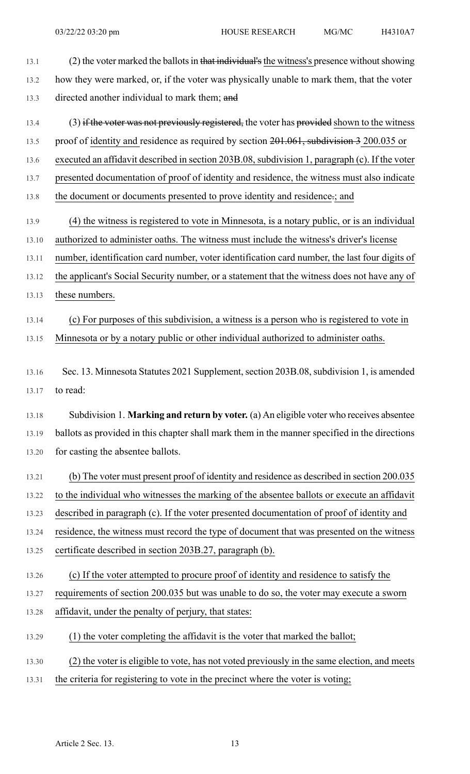| 13.1 | (2) the voter marked the ballots in that individual's the witness's presence without showing |
|------|----------------------------------------------------------------------------------------------|
| 13.2 | how they were marked, or, if the voter was physically unable to mark them, that the voter    |
| 13.3 | directed another individual to mark them; and                                                |
| 13.4 | (3) if the voter was not previously registered, the voter has provided shown to the witness  |

- 13.5 proof of identity and residence as required by section 201.061, subdivision 3 200.035 or
- 13.6 executed an affidavit described in section 203B.08, subdivision 1, paragraph (c). If the voter
- 13.7 presented documentation of proof of identity and residence, the witness must also indicate
- 13.8 the document or documents presented to prove identity and residence.; and
- 13.9 (4) the witness is registered to vote in Minnesota, is a notary public, or is an individual 13.10 authorized to administer oaths. The witness must include the witness's driver's license
- 13.11 number, identification card number, voter identification card number, the last four digits of
- 13.12 the applicant's Social Security number, or a statement that the witness does not have any of
- 13.13 these numbers.

## 13.14 (c) For purposes of this subdivision, a witness is a person who is registered to vote in 13.15 Minnesota or by a notary public or other individual authorized to administer oaths.

- 13.16 Sec. 13. Minnesota Statutes 2021 Supplement, section 203B.08, subdivision 1, is amended 13.17 to read:
- 13.18 Subdivision 1. **Marking and return by voter.** (a) An eligible voter who receives absentee 13.19 ballots as provided in this chapter shall mark them in the manner specified in the directions 13.20 for casting the absentee ballots.
- 13.21 (b) The voter must present proof of identity and residence as described in section 200.035

13.22 to the individual who witnesses the marking of the absentee ballots or execute an affidavit

13.23 described in paragraph (c). If the voter presented documentation of proof of identity and

13.24 residence, the witness must record the type of document that was presented on the witness

- 13.25 certificate described in section 203B.27, paragraph (b).
- 13.26 (c) If the voter attempted to procure proof of identity and residence to satisfy the

13.27 requirements of section 200.035 but was unable to do so, the voter may execute a sworn

- 13.28 affidavit, under the penalty of perjury, that states:
- 13.29 (1) the voter completing the affidavit is the voter that marked the ballot;
- 13.30 (2) the voter is eligible to vote, has not voted previously in the same election, and meets
- 13.31 the criteria for registering to vote in the precinct where the voter is voting;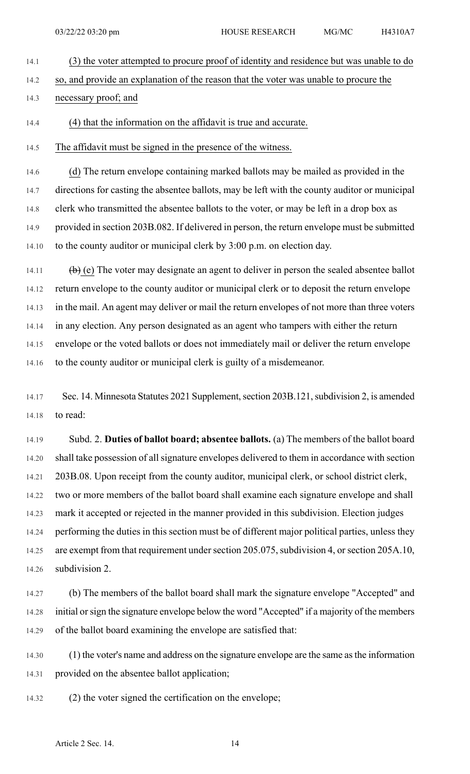- 14.1 (3) the voter attempted to procure proof of identity and residence but was unable to do
- 14.2 so, and provide an explanation of the reason that the voter was unable to procure the
- 14.3 necessary proof; and
- 14.4 (4) that the information on the affidavit is true and accurate.
- 14.5 The affidavit must be signed in the presence of the witness.

14.6 (d) The return envelope containing marked ballots may be mailed as provided in the 14.7 directions for casting the absentee ballots, may be left with the county auditor or municipal 14.8 clerk who transmitted the absentee ballots to the voter, or may be left in a drop box as 14.9 provided in section 203B.082. If delivered in person, the return envelope must be submitted 14.10 to the county auditor or municipal clerk by 3:00 p.m. on election day.

14.11  $\left(\frac{b}{c}\right)$  (e) The voter may designate an agent to deliver in person the sealed absentee ballot 14.12 return envelope to the county auditor or municipal clerk or to deposit the return envelope 14.13 in the mail. An agent may deliver or mail the return envelopes of not more than three voters 14.14 in any election. Any person designated as an agent who tampers with either the return 14.15 envelope or the voted ballots or does not immediately mail or deliver the return envelope 14.16 to the county auditor or municipal clerk is guilty of a misdemeanor.

14.17 Sec. 14. Minnesota Statutes 2021 Supplement, section 203B.121, subdivision 2, is amended 14.18 to read:

14.19 Subd. 2. **Duties of ballot board; absentee ballots.** (a) The members of the ballot board 14.20 shall take possession of all signature envelopes delivered to them in accordance with section 14.21 203B.08. Upon receipt from the county auditor, municipal clerk, or school district clerk, 14.22 two or more members of the ballot board shall examine each signature envelope and shall 14.23 mark it accepted or rejected in the manner provided in this subdivision. Election judges 14.24 performing the duties in this section must be of different major political parties, unless they 14.25 are exempt from that requirement under section 205.075, subdivision 4, or section 205A.10, 14.26 subdivision 2.

14.27 (b) The members of the ballot board shall mark the signature envelope "Accepted" and 14.28 initial orsign the signature envelope below the word "Accepted" if a majority of the members 14.29 of the ballot board examining the envelope are satisfied that:

14.30 (1) the voter's name and address on the signature envelope are the same asthe information 14.31 provided on the absentee ballot application;

14.32 (2) the voter signed the certification on the envelope;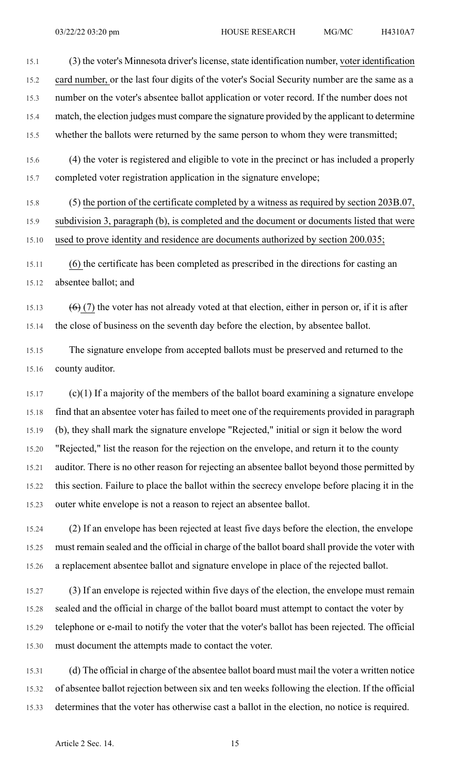15.1 (3) the voter's Minnesota driver's license, state identification number, voter identification 15.2 card number, or the last four digits of the voter's Social Security number are the same as a 15.3 number on the voter's absentee ballot application or voter record. If the number does not 15.4 match, the election judges must compare the signature provided by the applicant to determine 15.5 whether the ballots were returned by the same person to whom they were transmitted;

- 15.6 (4) the voter is registered and eligible to vote in the precinct or has included a properly 15.7 completed voter registration application in the signature envelope;
- 15.8 (5) the portion of the certificate completed by a witness as required by section 203B.07, 15.9 subdivision 3, paragraph (b), is completed and the document or documents listed that were 15.10 used to prove identity and residence are documents authorized by section 200.035;
- 15.11 (6) the certificate has been completed as prescribed in the directions for casting an 15.12 absentee ballot; and

15.13 (6) (7) the voter has not already voted at that election, either in person or, if it is after 15.14 the close of business on the seventh day before the election, by absentee ballot.

- 15.15 The signature envelope from accepted ballots must be preserved and returned to the 15.16 county auditor.
- 15.17 (c)(1) If a majority of the members of the ballot board examining a signature envelope 15.18 find that an absentee voter has failed to meet one of the requirements provided in paragraph 15.19 (b), they shall mark the signature envelope "Rejected," initial or sign it below the word 15.20 "Rejected," list the reason for the rejection on the envelope, and return it to the county 15.21 auditor. There is no other reason for rejecting an absentee ballot beyond those permitted by 15.22 this section. Failure to place the ballot within the secrecy envelope before placing it in the 15.23 outer white envelope is not a reason to reject an absentee ballot.
- 15.24 (2) If an envelope has been rejected at least five days before the election, the envelope 15.25 must remain sealed and the official in charge of the ballot board shall provide the voter with 15.26 a replacement absentee ballot and signature envelope in place of the rejected ballot.
- 15.27 (3) If an envelope is rejected within five days of the election, the envelope must remain 15.28 sealed and the official in charge of the ballot board must attempt to contact the voter by 15.29 telephone or e-mail to notify the voter that the voter's ballot has been rejected. The official 15.30 must document the attempts made to contact the voter.
- 15.31 (d) The official in charge of the absentee ballot board must mail the voter a written notice 15.32 of absentee ballot rejection between six and ten weeks following the election. If the official 15.33 determines that the voter has otherwise cast a ballot in the election, no notice is required.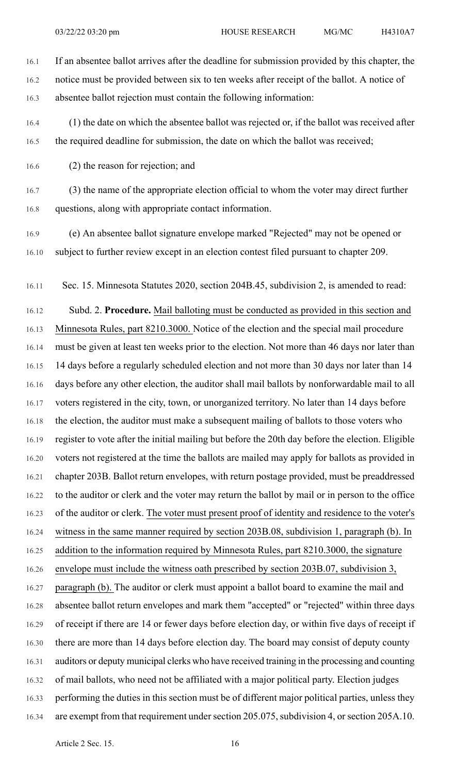16.1 If an absentee ballot arrives after the deadline for submission provided by this chapter, the 16.2 notice must be provided between six to ten weeks after receipt of the ballot. A notice of 16.3 absentee ballot rejection must contain the following information:

16.4 (1) the date on which the absentee ballot was rejected or, if the ballot was received after 16.5 the required deadline for submission, the date on which the ballot was received;

16.6 (2) the reason for rejection; and

16.7 (3) the name of the appropriate election official to whom the voter may direct further 16.8 questions, along with appropriate contact information.

16.9 (e) An absentee ballot signature envelope marked "Rejected" may not be opened or 16.10 subject to further review except in an election contest filed pursuant to chapter 209.

16.11 Sec. 15. Minnesota Statutes 2020, section 204B.45, subdivision 2, is amended to read:

16.12 Subd. 2. **Procedure.** Mail balloting must be conducted as provided in this section and

16.13 Minnesota Rules, part 8210.3000. Notice of the election and the special mail procedure 16.14 must be given at least ten weeks prior to the election. Not more than 46 days nor later than 16.15 14 days before a regularly scheduled election and not more than 30 days nor later than 14 16.16 days before any other election, the auditor shall mail ballots by nonforwardable mail to all 16.17 voters registered in the city, town, or unorganized territory. No later than 14 days before 16.18 the election, the auditor must make a subsequent mailing of ballots to those voters who 16.19 register to vote after the initial mailing but before the 20th day before the election. Eligible 16.20 voters not registered at the time the ballots are mailed may apply for ballots as provided in 16.21 chapter 203B. Ballot return envelopes, with return postage provided, must be preaddressed 16.22 to the auditor or clerk and the voter may return the ballot by mail or in person to the office 16.23 of the auditor or clerk. The voter must present proof of identity and residence to the voter's 16.24 witness in the same manner required by section 203B.08, subdivision 1, paragraph (b). In

16.25 addition to the information required by Minnesota Rules, part 8210.3000, the signature 16.26 envelope must include the witness oath prescribed by section 203B.07, subdivision 3,

16.27 paragraph (b). The auditor or clerk must appoint a ballot board to examine the mail and 16.28 absentee ballot return envelopes and mark them "accepted" or "rejected" within three days 16.29 of receipt if there are 14 or fewer days before election day, or within five days of receipt if 16.30 there are more than 14 days before election day. The board may consist of deputy county 16.31 auditors or deputy municipal clerks who have received training in the processing and counting 16.32 of mail ballots, who need not be affiliated with a major political party. Election judges 16.33 performing the duties in this section must be of different major political parties, unless they 16.34 are exempt from that requirement under section 205.075, subdivision 4, or section 205A.10.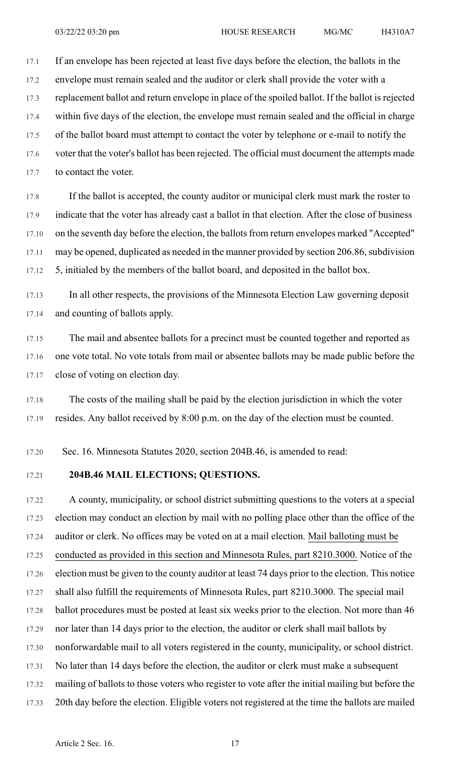17.1 If an envelope has been rejected at least five days before the election, the ballots in the

17.2 envelope must remain sealed and the auditor or clerk shall provide the voter with a 17.3 replacement ballot and return envelope in place of the spoiled ballot. If the ballot is rejected 17.4 within five days of the election, the envelope must remain sealed and the official in charge 17.5 of the ballot board must attempt to contact the voter by telephone or e-mail to notify the

17.6 voter that the voter's ballot has been rejected. The official must document the attempts made 17.7 to contact the voter.

17.8 If the ballot is accepted, the county auditor or municipal clerk must mark the roster to 17.9 indicate that the voter has already cast a ballot in that election. After the close of business 17.10 on the seventh day before the election, the ballots from return envelopes marked "Accepted" 17.11 may be opened, duplicated as needed in the manner provided by section 206.86, subdivision 17.12 5, initialed by the members of the ballot board, and deposited in the ballot box.

17.13 In all other respects, the provisions of the Minnesota Election Law governing deposit 17.14 and counting of ballots apply.

17.15 The mail and absentee ballots for a precinct must be counted together and reported as 17.16 one vote total. No vote totals from mail or absentee ballots may be made public before the 17.17 close of voting on election day.

17.18 The costs of the mailing shall be paid by the election jurisdiction in which the voter 17.19 resides. Any ballot received by 8:00 p.m. on the day of the election must be counted.

17.20 Sec. 16. Minnesota Statutes 2020, section 204B.46, is amended to read:

#### 17.21 **204B.46 MAIL ELECTIONS; QUESTIONS.**

17.22 A county, municipality, or school district submitting questions to the voters at a special 17.23 election may conduct an election by mail with no polling place other than the office of the 17.24 auditor or clerk. No offices may be voted on at a mail election. Mail balloting must be 17.25 conducted as provided in this section and Minnesota Rules, part 8210.3000. Notice of the 17.26 election must be given to the county auditor at least 74 days prior to the election. This notice 17.27 shall also fulfill the requirements of Minnesota Rules, part 8210.3000. The special mail 17.28 ballot procedures must be posted at least six weeks prior to the election. Not more than 46 17.29 nor later than 14 days prior to the election, the auditor or clerk shall mail ballots by 17.30 nonforwardable mail to all voters registered in the county, municipality, or school district. 17.31 No later than 14 days before the election, the auditor or clerk must make a subsequent 17.32 mailing of ballots to those voters who register to vote after the initial mailing but before the 17.33 20th day before the election. Eligible voters not registered at the time the ballots are mailed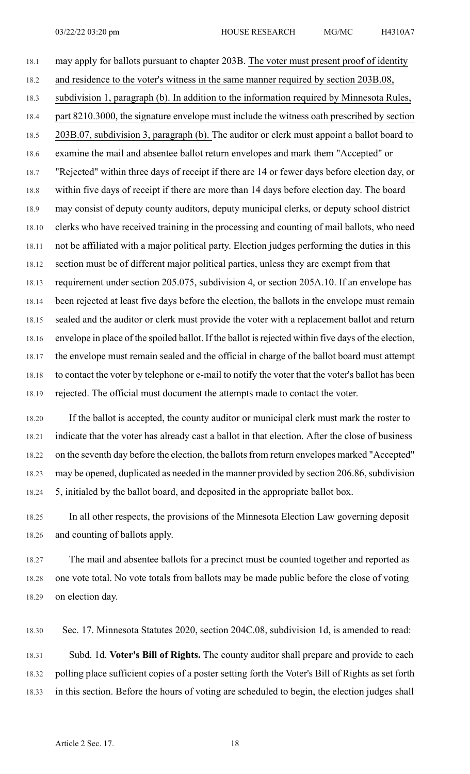18.1 may apply for ballots pursuant to chapter 203B. The voter must present proof of identity 18.2 and residence to the voter's witness in the same manner required by section 203B.08, 18.3 subdivision 1, paragraph (b). In addition to the information required by Minnesota Rules, 18.4 part 8210.3000, the signature envelope must include the witness oath prescribed by section 18.5 203B.07, subdivision 3, paragraph (b). The auditor or clerk must appoint a ballot board to 18.6 examine the mail and absentee ballot return envelopes and mark them "Accepted" or 18.7 "Rejected" within three days of receipt if there are 14 or fewer days before election day, or 18.8 within five days of receipt if there are more than 14 days before election day. The board 18.9 may consist of deputy county auditors, deputy municipal clerks, or deputy school district 18.10 clerks who have received training in the processing and counting of mail ballots, who need 18.11 not be affiliated with a major political party. Election judges performing the duties in this 18.12 section must be of different major political parties, unless they are exempt from that 18.13 requirement under section 205.075, subdivision 4, or section 205A.10. If an envelope has 18.14 been rejected at least five days before the election, the ballots in the envelope must remain 18.15 sealed and the auditor or clerk must provide the voter with a replacement ballot and return 18.16 envelope in place of the spoiled ballot. If the ballot is rejected within five days of the election, 18.17 the envelope must remain sealed and the official in charge of the ballot board must attempt 18.18 to contact the voter by telephone or e-mail to notify the voter that the voter's ballot has been 18.19 rejected. The official must document the attempts made to contact the voter.

18.20 If the ballot is accepted, the county auditor or municipal clerk must mark the roster to 18.21 indicate that the voter has already cast a ballot in that election. After the close of business 18.22 on the seventh day before the election, the ballots from return envelopes marked "Accepted" 18.23 may be opened, duplicated as needed in the manner provided by section 206.86, subdivision 18.24 5, initialed by the ballot board, and deposited in the appropriate ballot box.

18.25 In all other respects, the provisions of the Minnesota Election Law governing deposit 18.26 and counting of ballots apply.

18.27 The mail and absentee ballots for a precinct must be counted together and reported as 18.28 one vote total. No vote totals from ballots may be made public before the close of voting 18.29 on election day.

18.30 Sec. 17. Minnesota Statutes 2020, section 204C.08, subdivision 1d, is amended to read:

18.31 Subd. 1d. **Voter's Bill of Rights.** The county auditor shall prepare and provide to each 18.32 polling place sufficient copies of a poster setting forth the Voter's Bill of Rights as set forth 18.33 in this section. Before the hours of voting are scheduled to begin, the election judges shall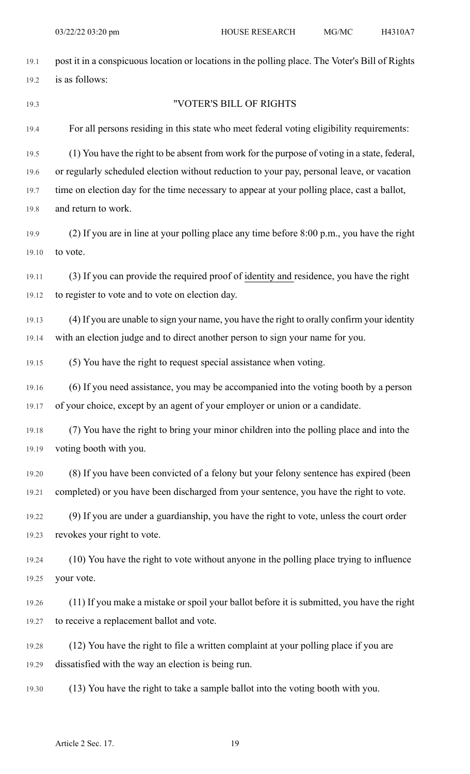| 19.1  | post it in a conspicuous location or locations in the polling place. The Voter's Bill of Rights |
|-------|-------------------------------------------------------------------------------------------------|
| 19.2  | is as follows:                                                                                  |
| 19.3  | "VOTER'S BILL OF RIGHTS                                                                         |
| 19.4  | For all persons residing in this state who meet federal voting eligibility requirements:        |
| 19.5  | (1) You have the right to be absent from work for the purpose of voting in a state, federal,    |
| 19.6  | or regularly scheduled election without reduction to your pay, personal leave, or vacation      |
| 19.7  | time on election day for the time necessary to appear at your polling place, cast a ballot,     |
| 19.8  | and return to work.                                                                             |
| 19.9  | (2) If you are in line at your polling place any time before 8:00 p.m., you have the right      |
| 19.10 | to vote.                                                                                        |
| 19.11 | (3) If you can provide the required proof of identity and residence, you have the right         |
| 19.12 | to register to vote and to vote on election day.                                                |
| 19.13 | (4) If you are unable to sign your name, you have the right to orally confirm your identity     |
| 19.14 | with an election judge and to direct another person to sign your name for you.                  |
| 19.15 | (5) You have the right to request special assistance when voting.                               |
| 19.16 | (6) If you need assistance, you may be accompanied into the voting booth by a person            |
| 19.17 | of your choice, except by an agent of your employer or union or a candidate.                    |
| 19.18 | (7) You have the right to bring your minor children into the polling place and into the         |
| 19.19 | voting booth with you.                                                                          |
| 19.20 | (8) If you have been convicted of a felony but your felony sentence has expired (been           |
| 19.21 | completed) or you have been discharged from your sentence, you have the right to vote.          |
| 19.22 | (9) If you are under a guardianship, you have the right to vote, unless the court order         |
| 19.23 | revokes your right to vote.                                                                     |
| 19.24 | (10) You have the right to vote without anyone in the polling place trying to influence         |
| 19.25 | your vote.                                                                                      |
| 19.26 | (11) If you make a mistake or spoil your ballot before it is submitted, you have the right      |
| 19.27 | to receive a replacement ballot and vote.                                                       |
| 19.28 | (12) You have the right to file a written complaint at your polling place if you are            |
| 19.29 | dissatisfied with the way an election is being run.                                             |
| 19.30 | (13) You have the right to take a sample ballot into the voting booth with you.                 |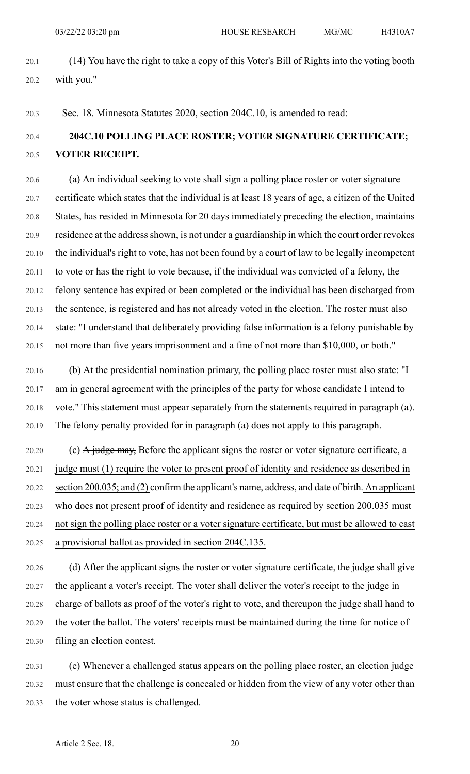20.1 (14) You have the right to take a copy of this Voter's Bill of Rights into the voting booth 20.2 with you."

20.3 Sec. 18. Minnesota Statutes 2020, section 204C.10, is amended to read:

# 20.4 **204C.10 POLLING PLACE ROSTER; VOTER SIGNATURE CERTIFICATE;** 20.5 **VOTER RECEIPT.**

20.6 (a) An individual seeking to vote shall sign a polling place roster or voter signature 20.7 certificate which states that the individual is at least 18 years of age, a citizen of the United 20.8 States, has resided in Minnesota for 20 days immediately preceding the election, maintains 20.9 residence at the address shown, is not under a guardianship in which the court order revokes 20.10 the individual's right to vote, has not been found by a court of law to be legally incompetent 20.11 to vote or has the right to vote because, if the individual was convicted of a felony, the 20.12 felony sentence has expired or been completed or the individual has been discharged from 20.13 the sentence, is registered and has not already voted in the election. The roster must also 20.14 state: "I understand that deliberately providing false information is a felony punishable by 20.15 not more than five years imprisonment and a fine of not more than \$10,000, or both."

20.16 (b) At the presidential nomination primary, the polling place roster must also state: "I 20.17 am in general agreement with the principles of the party for whose candidate I intend to 20.18 vote." This statement must appear separately from the statements required in paragraph (a). 20.19 The felony penalty provided for in paragraph (a) does not apply to this paragraph.

20.20 (c)  $\overline{A}$  judge may, Before the applicant signs the roster or voter signature certificate, a 20.21 judge must (1) require the voter to present proof of identity and residence as described in 20.22 section 200.035; and (2) confirm the applicant's name, address, and date of birth. An applicant 20.23 who does not present proof of identity and residence as required by section 200.035 must 20.24 not sign the polling place roster or a voter signature certificate, but must be allowed to cast 20.25 a provisional ballot as provided in section 204C.135.

20.26 (d) After the applicant signs the roster or voter signature certificate, the judge shall give 20.27 the applicant a voter's receipt. The voter shall deliver the voter's receipt to the judge in 20.28 charge of ballots as proof of the voter's right to vote, and thereupon the judge shall hand to 20.29 the voter the ballot. The voters' receipts must be maintained during the time for notice of 20.30 filing an election contest.

20.31 (e) Whenever a challenged status appears on the polling place roster, an election judge 20.32 must ensure that the challenge is concealed or hidden from the view of any voter other than 20.33 the voter whose status is challenged.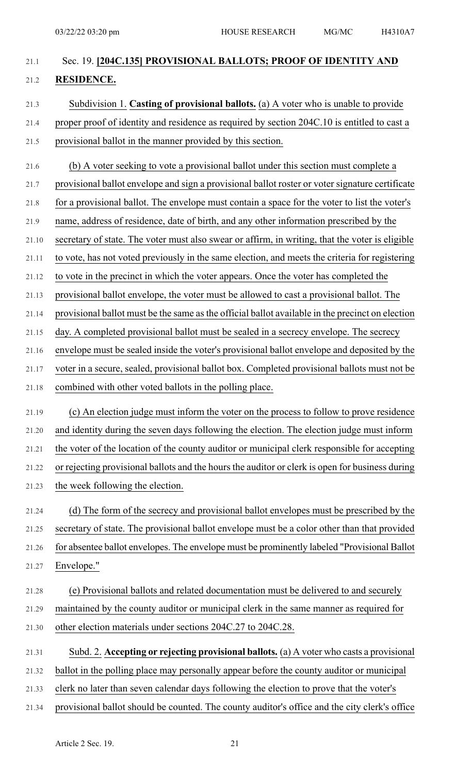# 21.1 Sec. 19. **[204C.135] PROVISIONAL BALLOTS; PROOF OF IDENTITY AND** 21.2 **RESIDENCE.** 21.3 Subdivision 1. **Casting of provisional ballots.** (a) A voter who is unable to provide

# 21.4 proper proof of identity and residence as required by section 204C.10 is entitled to cast a 21.5 provisional ballot in the manner provided by this section.

- 21.6 (b) A voter seeking to vote a provisional ballot under this section must complete a
- 21.7 provisional ballot envelope and sign a provisional ballot roster or voter signature certificate
- 21.8 for a provisional ballot. The envelope must contain a space for the voter to list the voter's
- 21.9 name, address of residence, date of birth, and any other information prescribed by the
- 21.10 secretary of state. The voter must also swear or affirm, in writing, that the voter is eligible
- 21.11 to vote, has not voted previously in the same election, and meets the criteria for registering
- 21.12 to vote in the precinct in which the voter appears. Once the voter has completed the
- 21.13 provisional ballot envelope, the voter must be allowed to cast a provisional ballot. The
- 21.14 provisional ballot must be the same asthe official ballot available in the precinct on election
- 21.15 day. A completed provisional ballot must be sealed in a secrecy envelope. The secrecy
- 21.16 envelope must be sealed inside the voter's provisional ballot envelope and deposited by the
- 21.17 voter in a secure, sealed, provisional ballot box. Completed provisional ballots must not be
- 21.18 combined with other voted ballots in the polling place.
- 21.19 (c) An election judge must inform the voter on the process to follow to prove residence 21.20 and identity during the seven days following the election. The election judge must inform 21.21 the voter of the location of the county auditor or municipal clerk responsible for accepting 21.22 or rejecting provisional ballots and the hours the auditor or clerk is open for business during 21.23 the week following the election.
- 21.24 (d) The form of the secrecy and provisional ballot envelopes must be prescribed by the 21.25 secretary of state. The provisional ballot envelope must be a color other than that provided 21.26 for absentee ballot envelopes. The envelope must be prominently labeled "Provisional Ballot 21.27 Envelope."
- 21.28 (e) Provisional ballots and related documentation must be delivered to and securely 21.29 maintained by the county auditor or municipal clerk in the same manner as required for 21.30 other election materials under sections 204C.27 to 204C.28.
- 21.31 Subd. 2. **Accepting or rejecting provisional ballots.** (a) A voter who casts a provisional
- 21.32 ballot in the polling place may personally appear before the county auditor or municipal
- 21.33 clerk no later than seven calendar days following the election to prove that the voter's
- 21.34 provisional ballot should be counted. The county auditor's office and the city clerk's office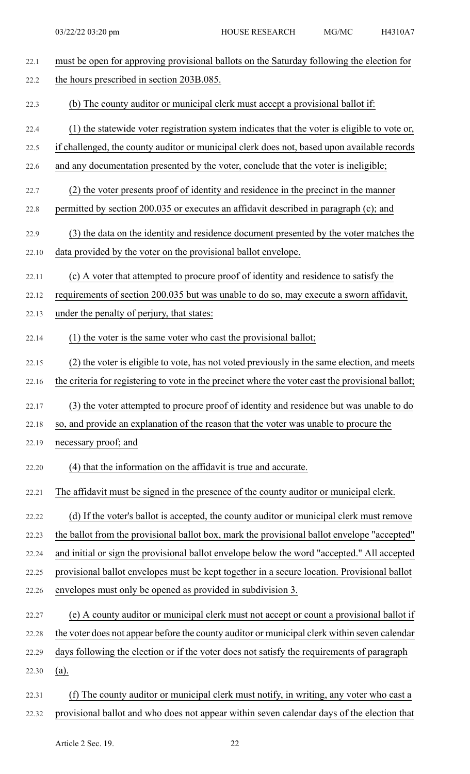| 22.1  | must be open for approving provisional ballots on the Saturday following the election for         |
|-------|---------------------------------------------------------------------------------------------------|
| 22.2  | the hours prescribed in section 203B.085.                                                         |
| 22.3  | (b) The county auditor or municipal clerk must accept a provisional ballot if:                    |
| 22.4  | (1) the statewide voter registration system indicates that the voter is eligible to vote or,      |
| 22.5  | if challenged, the county auditor or municipal clerk does not, based upon available records       |
| 22.6  | and any documentation presented by the voter, conclude that the voter is ineligible;              |
| 22.7  | (2) the voter presents proof of identity and residence in the precinct in the manner              |
| 22.8  | permitted by section 200.035 or executes an affidavit described in paragraph (c); and             |
| 22.9  | (3) the data on the identity and residence document presented by the voter matches the            |
| 22.10 | data provided by the voter on the provisional ballot envelope.                                    |
| 22.11 | (c) A voter that attempted to procure proof of identity and residence to satisfy the              |
| 22.12 | requirements of section 200.035 but was unable to do so, may execute a sworn affidavit,           |
| 22.13 | under the penalty of perjury, that states:                                                        |
| 22.14 | (1) the voter is the same voter who cast the provisional ballot;                                  |
| 22.15 | (2) the voter is eligible to vote, has not voted previously in the same election, and meets       |
| 22.16 | the criteria for registering to vote in the precinct where the voter cast the provisional ballot; |
| 22.17 | (3) the voter attempted to procure proof of identity and residence but was unable to do           |
| 22.18 | so, and provide an explanation of the reason that the voter was unable to procure the             |
| 22.19 | necessary proof; and                                                                              |
| 22.20 | (4) that the information on the affidavit is true and accurate.                                   |
| 22.21 | The affidavit must be signed in the presence of the county auditor or municipal clerk.            |
| 22.22 | (d) If the voter's ballot is accepted, the county auditor or municipal clerk must remove          |
| 22.23 | the ballot from the provisional ballot box, mark the provisional ballot envelope "accepted"       |
| 22.24 | and initial or sign the provisional ballot envelope below the word "accepted." All accepted       |
| 22.25 | provisional ballot envelopes must be kept together in a secure location. Provisional ballot       |
| 22.26 | envelopes must only be opened as provided in subdivision 3.                                       |
| 22.27 | (e) A county auditor or municipal clerk must not accept or count a provisional ballot if          |
| 22.28 | the voter does not appear before the county auditor or municipal clerk within seven calendar      |
| 22.29 | days following the election or if the voter does not satisfy the requirements of paragraph        |
| 22.30 | (a).                                                                                              |
| 22.31 | The county auditor or municipal clerk must notify, in writing, any voter who cast a<br>(f)        |
| 22.32 | provisional ballot and who does not appear within seven calendar days of the election that        |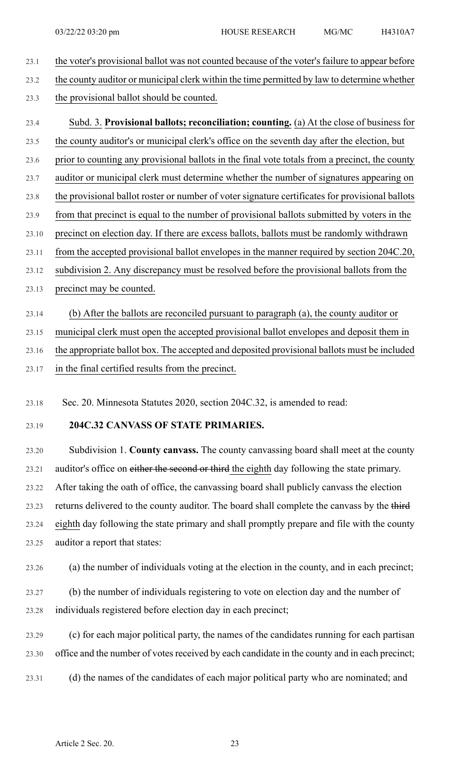- 23.1 the voter's provisional ballot was not counted because of the voter's failure to appear before
- 23.2 the county auditor or municipal clerk within the time permitted by law to determine whether
- 23.3 the provisional ballot should be counted.
- 23.4 Subd. 3. **Provisional ballots; reconciliation; counting.** (a) At the close of business for 23.5 the county auditor's or municipal clerk's office on the seventh day after the election, but
- 23.6 prior to counting any provisional ballots in the final vote totals from a precinct, the county
- 23.7 auditor or municipal clerk must determine whether the number of signatures appearing on
- 23.8 the provisional ballot roster or number of voter signature certificates for provisional ballots
- 23.9 from that precinct is equal to the number of provisional ballots submitted by voters in the
- 23.10 precinct on election day. If there are excess ballots, ballots must be randomly withdrawn
- 23.11 from the accepted provisional ballot envelopes in the manner required by section 204C.20,
- 23.12 subdivision 2. Any discrepancy must be resolved before the provisional ballots from the
- 23.13 precinct may be counted.
- 23.14 (b) After the ballots are reconciled pursuant to paragraph (a), the county auditor or

23.15 municipal clerk must open the accepted provisional ballot envelopes and deposit them in

23.16 the appropriate ballot box. The accepted and deposited provisional ballots must be included

23.17 in the final certified results from the precinct.

23.18 Sec. 20. Minnesota Statutes 2020, section 204C.32, is amended to read:

#### 23.19 **204C.32 CANVASS OF STATE PRIMARIES.**

23.20 Subdivision 1. **County canvass.** The county canvassing board shall meet at the county 23.21 auditor's office on either the second or third the eighth day following the state primary. 23.22 After taking the oath of office, the canvassing board shall publicly canvass the election 23.23 returns delivered to the county auditor. The board shall complete the canvass by the third 23.24 eighth day following the state primary and shall promptly prepare and file with the county 23.25 auditor a report that states:

23.26 (a) the number of individuals voting at the election in the county, and in each precinct;

23.27 (b) the number of individuals registering to vote on election day and the number of 23.28 individuals registered before election day in each precinct;

23.29 (c) for each major political party, the names of the candidates running for each partisan 23.30 office and the number of votes received by each candidate in the county and in each precinct;

23.31 (d) the names of the candidates of each major political party who are nominated; and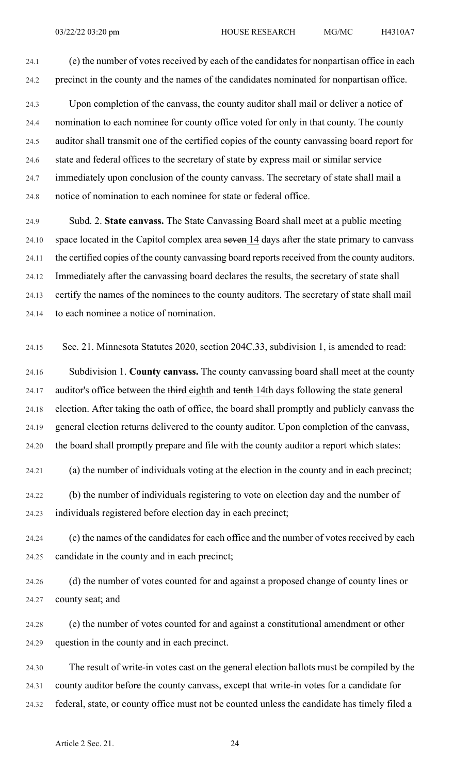24.1 (e) the number of votes received by each of the candidates for nonpartisan office in each 24.2 precinct in the county and the names of the candidates nominated for nonpartisan office.

24.3 Upon completion of the canvass, the county auditor shall mail or deliver a notice of 24.4 nomination to each nominee for county office voted for only in that county. The county 24.5 auditor shall transmit one of the certified copies of the county canvassing board report for 24.6 state and federal offices to the secretary of state by express mail or similar service 24.7 immediately upon conclusion of the county canvass. The secretary of state shall mail a 24.8 notice of nomination to each nominee for state or federal office.

24.9 Subd. 2. **State canvass.** The State Canvassing Board shall meet at a public meeting 24.10 space located in the Capitol complex area seven 14 days after the state primary to canvass 24.11 the certified copies of the county canvassing board reports received from the county auditors. 24.12 Immediately after the canvassing board declares the results, the secretary of state shall 24.13 certify the names of the nominees to the county auditors. The secretary of state shall mail 24.14 to each nominee a notice of nomination.

24.15 Sec. 21. Minnesota Statutes 2020, section 204C.33, subdivision 1, is amended to read:

24.16 Subdivision 1. **County canvass.** The county canvassing board shall meet at the county 24.17 auditor's office between the third eighth and tenth 14th days following the state general 24.18 election. After taking the oath of office, the board shall promptly and publicly canvass the 24.19 general election returns delivered to the county auditor. Upon completion of the canvass, 24.20 the board shall promptly prepare and file with the county auditor a report which states:

24.21 (a) the number of individuals voting at the election in the county and in each precinct;

24.22 (b) the number of individuals registering to vote on election day and the number of 24.23 individuals registered before election day in each precinct;

24.24 (c) the names of the candidates for each office and the number of votes received by each 24.25 candidate in the county and in each precinct;

24.26 (d) the number of votes counted for and against a proposed change of county lines or 24.27 county seat; and

24.28 (e) the number of votes counted for and against a constitutional amendment or other 24.29 question in the county and in each precinct.

24.30 The result of write-in votes cast on the general election ballots must be compiled by the 24.31 county auditor before the county canvass, except that write-in votes for a candidate for 24.32 federal, state, or county office must not be counted unless the candidate has timely filed a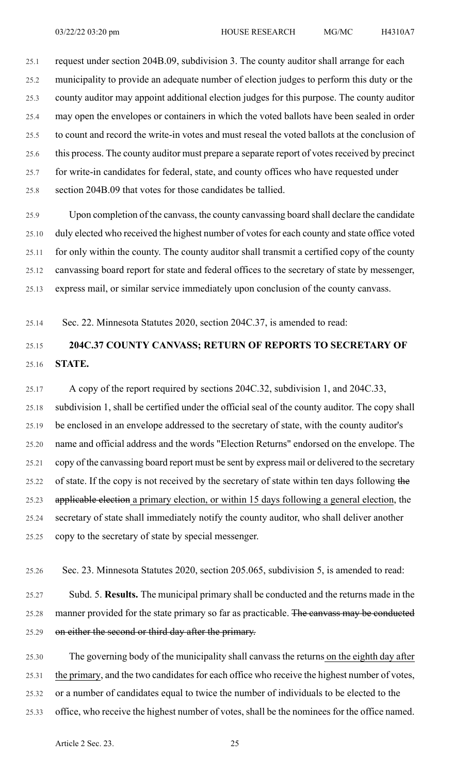25.1 request under section 204B.09, subdivision 3. The county auditor shall arrange for each 25.2 municipality to provide an adequate number of election judges to perform this duty or the 25.3 county auditor may appoint additional election judges for this purpose. The county auditor 25.4 may open the envelopes or containers in which the voted ballots have been sealed in order 25.5 to count and record the write-in votes and must reseal the voted ballots at the conclusion of 25.6 this process. The county auditor must prepare a separate report of votes received by precinct 25.7 for write-in candidates for federal, state, and county offices who have requested under 25.8 section 204B.09 that votes for those candidates be tallied.

25.9 Upon completion of the canvass, the county canvassing board shall declare the candidate 25.10 duly elected who received the highest number of votes for each county and state office voted 25.11 for only within the county. The county auditor shall transmit a certified copy of the county 25.12 canvassing board report for state and federal offices to the secretary of state by messenger, 25.13 express mail, or similar service immediately upon conclusion of the county canvass.

25.14 Sec. 22. Minnesota Statutes 2020, section 204C.37, is amended to read:

# 25.15 **204C.37 COUNTY CANVASS; RETURN OF REPORTS TO SECRETARY OF** 25.16 **STATE.**

25.17 A copy of the report required by sections 204C.32, subdivision 1, and 204C.33, 25.18 subdivision 1, shall be certified under the official seal of the county auditor. The copy shall 25.19 be enclosed in an envelope addressed to the secretary of state, with the county auditor's 25.20 name and official address and the words "Election Returns" endorsed on the envelope. The 25.21 copy of the canvassing board report must be sent by express mail or delivered to the secretary 25.22 of state. If the copy is not received by the secretary of state within ten days following the 25.23 applicable election a primary election, or within 15 days following a general election, the 25.24 secretary of state shall immediately notify the county auditor, who shall deliver another 25.25 copy to the secretary of state by special messenger.

25.26 Sec. 23. Minnesota Statutes 2020, section 205.065, subdivision 5, is amended to read:

25.27 Subd. 5. **Results.** The municipal primary shall be conducted and the returns made in the 25.28 manner provided for the state primary so far as practicable. The canvass may be conducted 25.29 on either the second or third day after the primary.

25.30 The governing body of the municipality shall canvass the returns on the eighth day after 25.31 the primary, and the two candidates for each office who receive the highest number of votes, 25.32 or a number of candidates equal to twice the number of individuals to be elected to the 25.33 office, who receive the highest number of votes, shall be the nominees for the office named.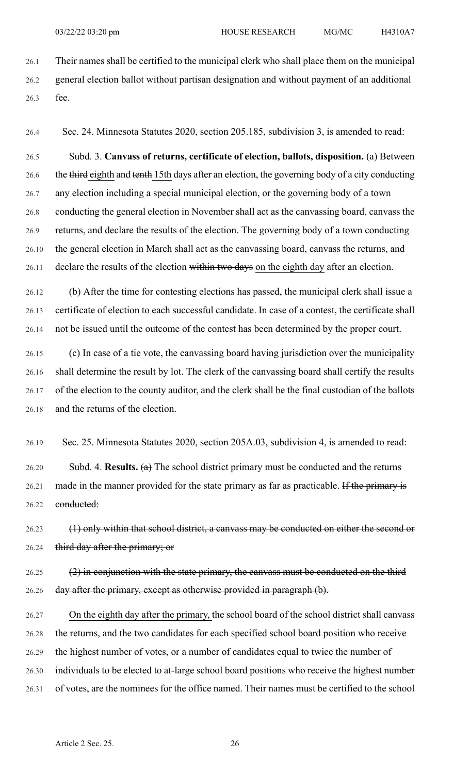26.1 Their names shall be certified to the municipal clerk who shall place them on the municipal 26.2 general election ballot without partisan designation and without payment of an additional 26.3 fee.

26.4 Sec. 24. Minnesota Statutes 2020, section 205.185, subdivision 3, is amended to read:

26.5 Subd. 3. **Canvass of returns, certificate of election, ballots, disposition.** (a) Between 26.6 the third eighth and tenth 15th days after an election, the governing body of a city conducting 26.7 any election including a special municipal election, or the governing body of a town 26.8 conducting the general election in November shall act as the canvassing board, canvass the 26.9 returns, and declare the results of the election. The governing body of a town conducting 26.10 the general election in March shall act as the canvassing board, canvass the returns, and 26.11 declare the results of the election within two days on the eighth day after an election.

26.12 (b) After the time for contesting elections has passed, the municipal clerk shall issue a 26.13 certificate of election to each successful candidate. In case of a contest, the certificate shall 26.14 not be issued until the outcome of the contest has been determined by the proper court.

26.15 (c) In case of a tie vote, the canvassing board having jurisdiction over the municipality 26.16 shall determine the result by lot. The clerk of the canvassing board shall certify the results 26.17 of the election to the county auditor, and the clerk shall be the final custodian of the ballots 26.18 and the returns of the election.

26.19 Sec. 25. Minnesota Statutes 2020, section 205A.03, subdivision 4, is amended to read:

26.20 Subd. 4. **Results.** (a) The school district primary must be conducted and the returns 26.21 made in the manner provided for the state primary as far as practicable. If the primary is 26.22 conducted:

26.23 (1) only within that school district, a canvass may be conducted on either the second or 26.24 third day after the primary; or

 $26.25$  (2) in conjunction with the state primary, the canvass must be conducted on the third 26.26 day after the primary, except as otherwise provided in paragraph (b).

26.27 On the eighth day after the primary, the school board of the school district shall canvass 26.28 the returns, and the two candidates for each specified school board position who receive 26.29 the highest number of votes, or a number of candidates equal to twice the number of 26.30 individuals to be elected to at-large school board positions who receive the highest number 26.31 of votes, are the nominees for the office named. Their names must be certified to the school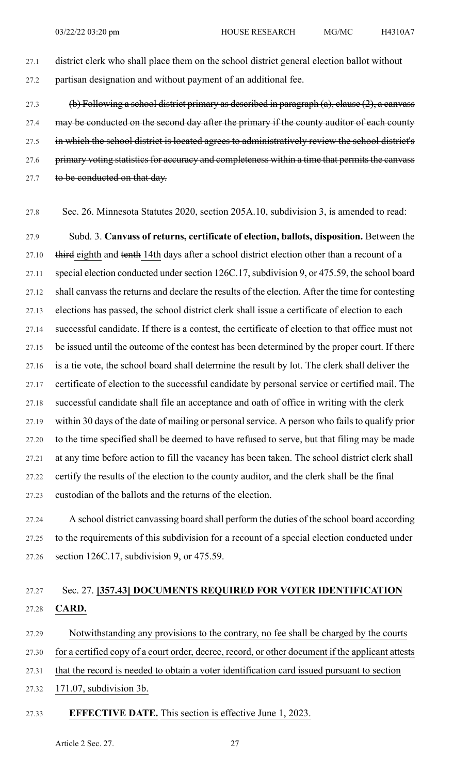- 27.1 district clerk who shall place them on the school district general election ballot without 27.2 partisan designation and without payment of an additional fee.
- 27.3 (b) Following a school district primary as described in paragraph (a), clause (2), a canvass 27.4 may be conducted on the second day after the primary if the county auditor of each county 27.5 in which the school district is located agrees to administratively review the school district's 27.6 primary voting statistics for accuracy and completeness within a time that permits the canvass 27.7 to be conducted on that day.
- 27.8 Sec. 26. Minnesota Statutes 2020, section 205A.10, subdivision 3, is amended to read:

27.9 Subd. 3. **Canvass of returns, certificate of election, ballots, disposition.** Between the 27.10 third eighth and tenth 14th days after a school district election other than a recount of a 27.11 special election conducted under section 126C.17, subdivision 9, or 475.59, the school board 27.12 shall canvass the returns and declare the results of the election. After the time for contesting 27.13 elections has passed, the school district clerk shall issue a certificate of election to each 27.14 successful candidate. If there is a contest, the certificate of election to that office must not 27.15 be issued until the outcome of the contest has been determined by the proper court. If there 27.16 is a tie vote, the school board shall determine the result by lot. The clerk shall deliver the 27.17 certificate of election to the successful candidate by personal service or certified mail. The 27.18 successful candidate shall file an acceptance and oath of office in writing with the clerk 27.19 within 30 days of the date of mailing or personal service. A person who fails to qualify prior 27.20 to the time specified shall be deemed to have refused to serve, but that filing may be made 27.21 at any time before action to fill the vacancy has been taken. The school district clerk shall 27.22 certify the results of the election to the county auditor, and the clerk shall be the final 27.23 custodian of the ballots and the returns of the election.

27.24 A school district canvassing board shall perform the duties of the school board according 27.25 to the requirements of this subdivision for a recount of a special election conducted under 27.26 section 126C.17, subdivision 9, or 475.59.

# 27.27 Sec. 27. **[357.43] DOCUMENTS REQUIRED FOR VOTER IDENTIFICATION** 27.28 **CARD.**

27.29 Notwithstanding any provisions to the contrary, no fee shall be charged by the courts 27.30 for a certified copy of a court order, decree, record, or other document if the applicant attests 27.31 that the record is needed to obtain a voter identification card issued pursuant to section

27.32 171.07, subdivision 3b.

#### 27.33 **EFFECTIVE DATE.** This section is effective June 1, 2023.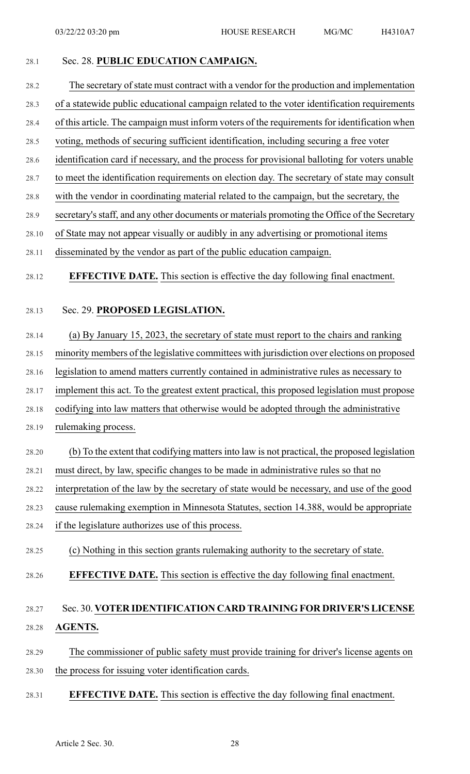#### 28.1 Sec. 28. **PUBLIC EDUCATION CAMPAIGN.**

- 28.2 The secretary of state must contract with a vendor for the production and implementation
- 28.3 of a statewide public educational campaign related to the voter identification requirements
- 28.4 of this article. The campaign must inform voters of the requirements for identification when
- 28.5 voting, methods of securing sufficient identification, including securing a free voter
- 28.6 identification card if necessary, and the process for provisional balloting for voters unable
- 28.7 to meet the identification requirements on election day. The secretary of state may consult
- 28.8 with the vendor in coordinating material related to the campaign, but the secretary, the
- 28.9 secretary's staff, and any other documents or materials promoting the Office of the Secretary
- 28.10 of State may not appear visually or audibly in any advertising or promotional items
- 28.11 disseminated by the vendor as part of the public education campaign.
- 28.12 **EFFECTIVE DATE.** This section is effective the day following final enactment.
- 

#### 28.13 Sec. 29. **PROPOSED LEGISLATION.**

- 28.14 (a) By January 15, 2023, the secretary of state must report to the chairs and ranking
- 28.15 minority members of the legislative committees with jurisdiction over elections on proposed
- 28.16 legislation to amend matters currently contained in administrative rules as necessary to
- 28.17 implement this act. To the greatest extent practical, this proposed legislation must propose
- 28.18 codifying into law matters that otherwise would be adopted through the administrative
- 28.19 rulemaking process.
- 28.20 (b) To the extent that codifying matters into law is not practical, the proposed legislation
- 28.21 must direct, by law, specific changes to be made in administrative rules so that no
- 28.22 interpretation of the law by the secretary of state would be necessary, and use of the good
- 28.23 cause rulemaking exemption in Minnesota Statutes, section 14.388, would be appropriate
- 28.24 if the legislature authorizes use of this process.
- 28.25 (c) Nothing in this section grants rulemaking authority to the secretary of state.
- 28.26 **EFFECTIVE DATE.** This section is effective the day following final enactment.

# 28.27 Sec. 30. **VOTER IDENTIFICATION CARD TRAINING FOR DRIVER'S LICENSE** 28.28 **AGENTS.**

- 28.29 The commissioner of public safety must provide training for driver's license agents on 28.30 the process for issuing voter identification cards.
- 28.31 **EFFECTIVE DATE.** This section is effective the day following final enactment.